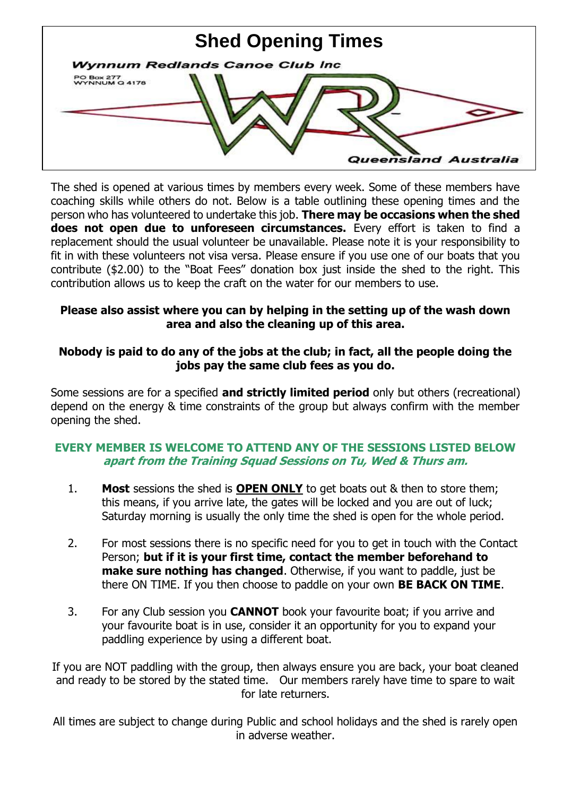

The shed is opened at various times by members every week. Some of these members have coaching skills while others do not. Below is a table outlining these opening times and the person who has volunteered to undertake this job. **There may be occasions when the shed does not open due to unforeseen circumstances.** Every effort is taken to find a replacement should the usual volunteer be unavailable. Please note it is your responsibility to fit in with these volunteers not visa versa. Please ensure if you use one of our boats that you contribute (\$2.00) to the "Boat Fees" donation box just inside the shed to the right. This contribution allows us to keep the craft on the water for our members to use.

## **Please also assist where you can by helping in the setting up of the wash down area and also the cleaning up of this area.**

## **Nobody is paid to do any of the jobs at the club; in fact, all the people doing the jobs pay the same club fees as you do.**

Some sessions are for a specified **and strictly limited period** only but others (recreational) depend on the energy & time constraints of the group but always confirm with the member opening the shed.

## **EVERY MEMBER IS WELCOME TO ATTEND ANY OF THE SESSIONS LISTED BELOW apart from the Training Squad Sessions on Tu, Wed & Thurs am.**

- 1. **Most** sessions the shed is **OPEN ONLY** to get boats out & then to store them; this means, if you arrive late, the gates will be locked and you are out of luck; Saturday morning is usually the only time the shed is open for the whole period.
- 2. For most sessions there is no specific need for you to get in touch with the Contact Person; **but if it is your first time, contact the member beforehand to make sure nothing has changed.** Otherwise, if you want to paddle, just be there ON TIME. If you then choose to paddle on your own **BE BACK ON TIME**.
- 3. For any Club session you **CANNOT** book your favourite boat; if you arrive and your favourite boat is in use, consider it an opportunity for you to expand your paddling experience by using a different boat.

If you are NOT paddling with the group, then always ensure you are back, your boat cleaned and ready to be stored by the stated time. Our members rarely have time to spare to wait for late returners.

All times are subject to change during Public and school holidays and the shed is rarely open in adverse weather.